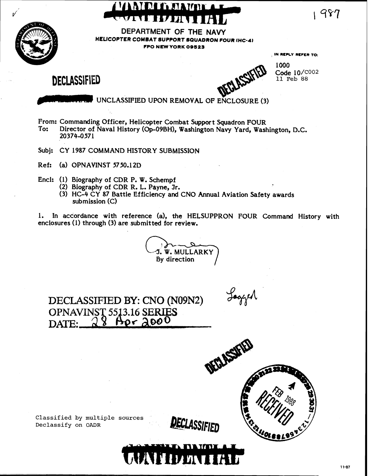

**HANDLE NAME** <u>unian i N</u> T 1,4 min n N



**DEPARTMENT OF THE NAVY HELICOPTER COMBAT SUPPORT SQUADRON FOUR IHC-4) FPO NEW YORK 09523** 

, **IN REPLY REFER TO:** 

1000 **Code 10/<sup>COO2</sup>**<br>11 Feb 88

# **DECLASSIFIED**

UNCLASSIFIED UPON REMOVAL OF ENCLOSURE **(3)** 

From: Commanding Officer, Helicopter Combat Support Squadron FOUR Director of Naval History (Op-09BH), Washington Navy Yard, Washington, D.C. 20374-0571

Subj: CY 1987 COMMAND HISTORY SUBMISSION

Ref: (a) OPNAVINST 5750.1 2D

- Encl: (1) Biography of CDR P. W. Schempf
	- **(2)** Biography of CDR R. L. Payne, Jr.
	- (3) HC-4 CY 87 Battle Efficiency and CNO Annual Aviation Safety awards submission (C)

1. In accordance with reference (a), the HELSUPPRON FOUR Command History with enclosures (1) through (3) are submitted for review.

**J. W. MULLARKY** By direction

DECLASSIFIED **BY: CNO (N09N2)** w **OPNAVINST 55 3.16 SERIIES DAm: as** iL **a.wo** 



**Classified by multiple sources Declassify on OADR** 

**AATIDIKII AD**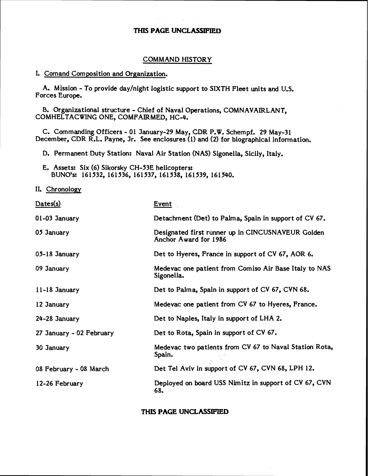### THIS **PAGE UNCLASSIFIED**

#### COMMAND HISTORY

### I. Comand Com position and Organization.

A. Mission - To provide day/night logistic support to SIXTH Fleet units and U.S. Forces Europe.

B. Organizational structure - Chief of Naval Operations, COMNAVAIRLANT, COMHELTACWING ONE, COMFAIRMED, HC-4.

C. Commanding Officers - 01 January-29 May, CDR P.W. Schempf. 29 May-31 December, CDR R.L. Payne, Jr. See enclosures (1) and (2) for biographical information.

D. Permanent Duty Station: Naval Air Station (NAS) Sigonella, Sicily, Italy.

| D. Permanent Duty Station: Naval Air Station (NAS) Sigonella, Sicily, Italy,                               |                                                                            |  |
|------------------------------------------------------------------------------------------------------------|----------------------------------------------------------------------------|--|
| E. Assets: Six (6) Sikorsky CH-53E helicopters:<br>BUNO's: 161532, 161536, 161537, 161538, 161539, 161540. |                                                                            |  |
| II. Chronology                                                                                             |                                                                            |  |
| Dates(s)                                                                                                   | Event                                                                      |  |
| 01-03 January                                                                                              | Detachment (Det) to Palma, Spain in support of CV 67.                      |  |
| 05 January                                                                                                 | Designated first runner up in CINCUSNAVEUR Golden<br>Anchor Award for 1986 |  |
| 05-18 January                                                                                              | Det to Hyeres, France in support of CV 67, AOR 6.                          |  |
| 09 January                                                                                                 | Medevac one patient from Comiso Air Base Italy to NAS<br>Sigonella.        |  |
| 11-18 January                                                                                              | Det to Palma, Spain in support of CV 67, CVN 68.                           |  |
| 12 January                                                                                                 | Medevac one patient from CV 67 to Hyeres, France.                          |  |
| 24-28 January                                                                                              | Det to Naples, Italy in support of LHA 2.                                  |  |
| 27 January - 02 February                                                                                   | Det to Rota, Spain in support of CV 67.                                    |  |
| 30 January                                                                                                 | Medevac two patients from CV 67 to Naval Station Rota,<br>Spain.           |  |
| 08 February - 08 March                                                                                     | Det Tel Aviv in support of CV 67, CVN 68, LPH 12.                          |  |
| 12-26 February                                                                                             | Deployed on board USS Nimitz in support of CV 67, CVN<br>68.               |  |

#### **THIS PAGE UNCLASSIFIED**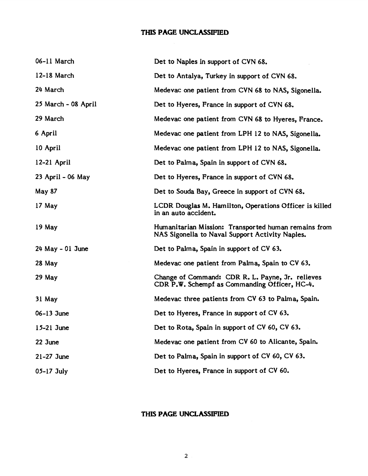### **THIS PACE UNCLASSFIED**

| 06-11 March         | Det to Naples in support of CVN 68.                                                                     |
|---------------------|---------------------------------------------------------------------------------------------------------|
| 12-18 March         | Det to Antalya, Turkey in support of CVN 68.                                                            |
| 24 March            | Medevac one patient from CVN 68 to NAS, Sigonella.                                                      |
| 25 March - 08 April | Det to Hyeres, France in support of CVN 68.                                                             |
| 29 March            | Medevac one patient from CVN 68 to Hyeres, France.                                                      |
| 6 April             | Medevac one patient from LPH 12 to NAS, Sigonella.                                                      |
| 10 April            | Medevac one patient from LPH 12 to NAS, Sigonella.                                                      |
| $12-21$ April       | Det to Palma, Spain in support of CVN 68.                                                               |
| 23 April - 06 May   | Det to Hyeres, France in support of CVN 68.                                                             |
| <b>May 87</b>       | Det to Souda Bay, Greece in support of CVN 68.                                                          |
| 17 May              | LCDR Douglas M. Hamilton, Operations Officer is killed<br>in an auto accident.                          |
| 19 May              | Humanitarian Mission: Transported human remains from<br>NAS Sigonella to Naval Support Activity Naples. |
| $24$ May $-01$ June | Det to Palma, Spain in support of CV 63.                                                                |
| 28 May              | Medevac one patient from Palma, Spain to CV 63.                                                         |
| 29 May              | Change of Command: CDR R. L. Payne, Jr. relieves<br>CDR P.W. Schempf as Commanding Officer, HC-4.       |
| 31 May              | Medevac three patients from CV 63 to Palma, Spain.                                                      |
| 06-13 June          | Det to Hyeres, France in support of CV 63.                                                              |
| 15-21 June          | Det to Rota, Spain in support of CV 60, CV 63.                                                          |
| 22 June             | Medevac one patient from CV 60 to Alicante, Spain.                                                      |
| $21-27$ June        | Det to Palma, Spain in support of CV 60, CV 63.                                                         |
| $05-17$ July        | Det to Hyeres, France in support of CV 60.                                                              |

### **THIS PACE UNCLASSIFIED**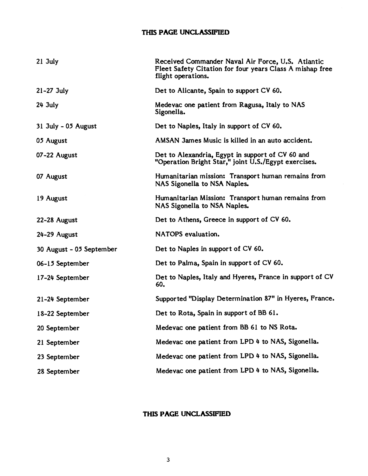### **THIS PAGE UNCLASSIFIED**

| 21 July                  | Received Commander Naval Air Force, U.S. Atlantic<br>Fleet Safety Citation for four years Class A mishap free<br>flight operations. |
|--------------------------|-------------------------------------------------------------------------------------------------------------------------------------|
| $21-27$ July             | Det to Alicante, Spain to support CV 60.                                                                                            |
| 24 July                  | Medevac one patient from Ragusa, Italy to NAS<br>Sigonella.                                                                         |
| 31 July - $05$ August    | Det to Naples, Italy in support of CV 60.                                                                                           |
| 05 August                | AMSAN James Music is killed in an auto accident.                                                                                    |
| 07-22 August             | Det to Alexandria, Egypt in support of CV 60 and<br>"Operation Bright Star," joint U.S./Egypt exercises.                            |
| 07 August                | Humanitarian mission: Transport human remains from<br>NAS Sigonella to NSA Naples.                                                  |
| 19 August                | Humanitarian Mission: Transport human remains from<br>NAS Sigonella to NSA Naples.                                                  |
| 22-28 August             | Det to Athens, Greece in support of CV 60.                                                                                          |
| 24-29 August             | NATOPS evaluation.                                                                                                                  |
| 30 August - 05 September | Det to Naples in support of CV 60.                                                                                                  |
| 06-15 September          | Det to Palma, Spain in support of CV 60.                                                                                            |
| 17-24 September          | Det to Naples, Italy and Hyeres, France in support of CV<br>60.                                                                     |
| 21-24 September          | Supported "Display Determination 87" in Hyeres, France.                                                                             |
| 18-22 September          | Det to Rota, Spain in support of BB 61.                                                                                             |
| 20 September             | Medevac one patient from BB 61 to NS Rota.                                                                                          |
| 21 September             | Medevac one patient from LPD 4 to NAS, Sigonella.                                                                                   |
| 23 September             | Medevac one patient from LPD 4 to NAS, Sigonella.                                                                                   |
| 28 September             | Medevac one patient from LPD 4 to NAS, Sigonella.                                                                                   |

### **THIS PAGE UNCLASSIFIED**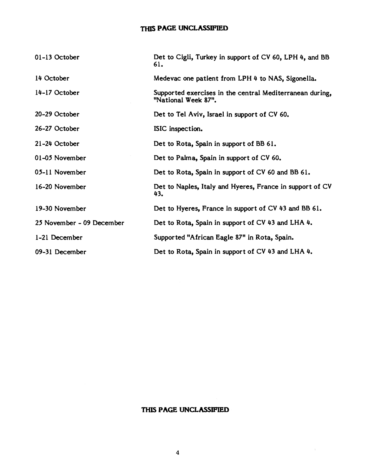## **THIS PAGE UNCLASSIFIED**

| 01-13 October             | Det to Cigli, Turkey in support of CV 60, LPH 4, and BB<br>61.                  |
|---------------------------|---------------------------------------------------------------------------------|
| 14 October                | Medevac one patient from LPH 4 to NAS, Sigonella.                               |
| 14-17 October             | Supported exercises in the central Mediterranean during,<br>"National Week 87". |
| 20-29 October             | Det to Tel Aviv, Israel in support of CV 60.                                    |
| 26-27 October             | ISIC inspection.                                                                |
| 21-24 October             | Det to Rota, Spain in support of BB 61.                                         |
| 01-05 November            | Det to Palma, Spain in support of CV 60.                                        |
| 05-11 November            | Det to Rota, Spain in support of CV 60 and BB 61.                               |
| 16-20 November            | Det to Naples, Italy and Hyeres, France in support of CV<br>43.                 |
| 19-30 November            | Det to Hyeres, France in support of CV 43 and BB 61.                            |
| 25 November - 09 December | Det to Rota, Spain in support of CV 43 and LHA 4.                               |
| 1-21 December             | Supported "African Eagle 87" in Rota, Spain.                                    |
| 09-31 December            | Det to Rota, Spain in support of CV 43 and LHA 4.                               |

### **THIS PAGE UWCLASSIPIED**

 $\mathcal{A}^{\mathcal{A}}$